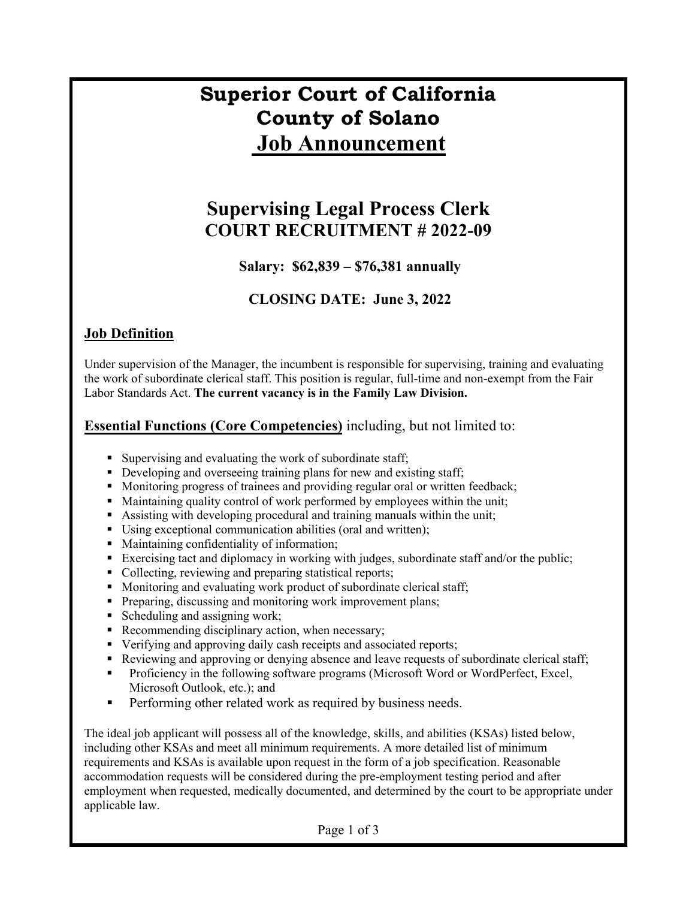# **Superior Court of California County of Solano Job Announcement**

### **Supervising Legal Process Clerk COURT RECRUITMENT # 2022-09**

### **Salary: \$62,839 – \$76,381 annually**

### **CLOSING DATE: June 3, 2022**

#### **Job Definition**

Under supervision of the Manager, the incumbent is responsible for supervising, training and evaluating the work of subordinate clerical staff. This position is regular, full-time and non-exempt from the Fair Labor Standards Act. **The current vacancy is in the Family Law Division.**

#### **Essential Functions (Core Competencies)** including, but not limited to:

- Supervising and evaluating the work of subordinate staff;
- Developing and overseeing training plans for new and existing staff;
- **Monitoring progress of trainees and providing regular oral or written feedback;**
- Maintaining quality control of work performed by employees within the unit;
- Assisting with developing procedural and training manuals within the unit;
- Using exceptional communication abilities (oral and written);
- Maintaining confidentiality of information;
- Exercising tact and diplomacy in working with judges, subordinate staff and/or the public;
- Collecting, reviewing and preparing statistical reports;
- Monitoring and evaluating work product of subordinate clerical staff;
- **Preparing, discussing and monitoring work improvement plans;**
- Scheduling and assigning work;
- Recommending disciplinary action, when necessary;
- Verifying and approving daily cash receipts and associated reports;
- Reviewing and approving or denying absence and leave requests of subordinate clerical staff;
- Proficiency in the following software programs (Microsoft Word or WordPerfect, Excel, Microsoft Outlook, etc.); and
- **Performing other related work as required by business needs.**

The ideal job applicant will possess all of the knowledge, skills, and abilities (KSAs) listed below, including other KSAs and meet all minimum requirements. A more detailed list of minimum requirements and KSAs is available upon request in the form of a job specification. Reasonable accommodation requests will be considered during the pre-employment testing period and after employment when requested, medically documented, and determined by the court to be appropriate under applicable law.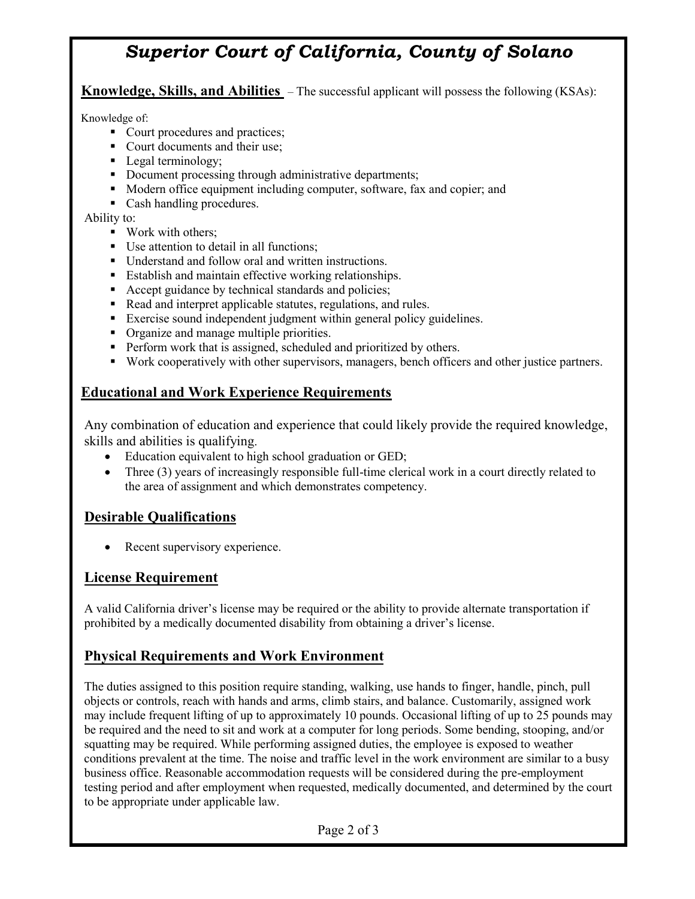## *Superior Court of California, County of Solano*

**Knowledge, Skills, and Abilities** – The successful applicant will possess the following (KSAs):

Knowledge of:

- Court procedures and practices;
- Court documents and their use;
- Legal terminology;
- Document processing through administrative departments;
- Modern office equipment including computer, software, fax and copier; and
- Cash handling procedures.

Ability to:

- Work with others:
- Use attention to detail in all functions;
- Understand and follow oral and written instructions.
- Establish and maintain effective working relationships.
- Accept guidance by technical standards and policies;
- Read and interpret applicable statutes, regulations, and rules.
- Exercise sound independent judgment within general policy guidelines.
- Organize and manage multiple priorities.
- **Perform work that is assigned, scheduled and prioritized by others.**
- Work cooperatively with other supervisors, managers, bench officers and other justice partners.

#### **Educational and Work Experience Requirements**

Any combination of education and experience that could likely provide the required knowledge, skills and abilities is qualifying.

- Education equivalent to high school graduation or GED;
- Three (3) years of increasingly responsible full-time clerical work in a court directly related to the area of assignment and which demonstrates competency.

### **Desirable Qualifications**

• Recent supervisory experience.

#### **License Requirement**

A valid California driver's license may be required or the ability to provide alternate transportation if prohibited by a medically documented disability from obtaining a driver's license.

#### **Physical Requirements and Work Environment**

The duties assigned to this position require standing, walking, use hands to finger, handle, pinch, pull objects or controls, reach with hands and arms, climb stairs, and balance. Customarily, assigned work may include frequent lifting of up to approximately 10 pounds. Occasional lifting of up to 25 pounds may be required and the need to sit and work at a computer for long periods. Some bending, stooping, and/or squatting may be required. While performing assigned duties, the employee is exposed to weather conditions prevalent at the time. The noise and traffic level in the work environment are similar to a busy business office. Reasonable accommodation requests will be considered during the pre-employment testing period and after employment when requested, medically documented, and determined by the court to be appropriate under applicable law.